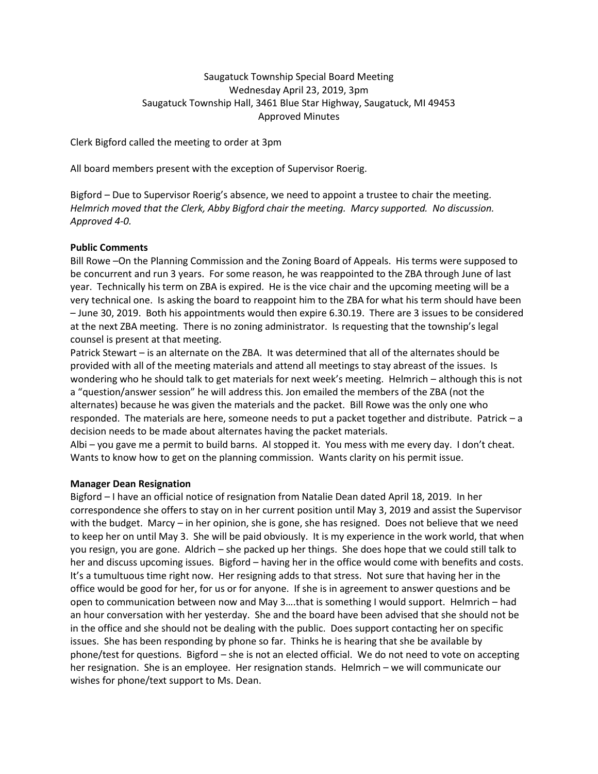# Saugatuck Township Special Board Meeting Wednesday April 23, 2019, 3pm Saugatuck Township Hall, 3461 Blue Star Highway, Saugatuck, MI 49453 Approved Minutes

Clerk Bigford called the meeting to order at 3pm

All board members present with the exception of Supervisor Roerig.

Bigford – Due to Supervisor Roerig's absence, we need to appoint a trustee to chair the meeting. *Helmrich moved that the Clerk, Abby Bigford chair the meeting. Marcy supported. No discussion. Approved 4-0.*

## **Public Comments**

Bill Rowe –On the Planning Commission and the Zoning Board of Appeals. His terms were supposed to be concurrent and run 3 years. For some reason, he was reappointed to the ZBA through June of last year. Technically his term on ZBA is expired. He is the vice chair and the upcoming meeting will be a very technical one. Is asking the board to reappoint him to the ZBA for what his term should have been – June 30, 2019. Both his appointments would then expire 6.30.19. There are 3 issues to be considered at the next ZBA meeting. There is no zoning administrator. Is requesting that the township's legal counsel is present at that meeting.

Patrick Stewart – is an alternate on the ZBA. It was determined that all of the alternates should be provided with all of the meeting materials and attend all meetings to stay abreast of the issues. Is wondering who he should talk to get materials for next week's meeting. Helmrich – although this is not a "question/answer session" he will address this. Jon emailed the members of the ZBA (not the alternates) because he was given the materials and the packet. Bill Rowe was the only one who responded. The materials are here, someone needs to put a packet together and distribute. Patrick – a decision needs to be made about alternates having the packet materials.

Albi – you gave me a permit to build barns. Al stopped it. You mess with me every day. I don't cheat. Wants to know how to get on the planning commission. Wants clarity on his permit issue.

#### **Manager Dean Resignation**

Bigford – I have an official notice of resignation from Natalie Dean dated April 18, 2019. In her correspondence she offers to stay on in her current position until May 3, 2019 and assist the Supervisor with the budget. Marcy – in her opinion, she is gone, she has resigned. Does not believe that we need to keep her on until May 3. She will be paid obviously. It is my experience in the work world, that when you resign, you are gone. Aldrich – she packed up her things. She does hope that we could still talk to her and discuss upcoming issues. Bigford – having her in the office would come with benefits and costs. It's a tumultuous time right now. Her resigning adds to that stress. Not sure that having her in the office would be good for her, for us or for anyone. If she is in agreement to answer questions and be open to communication between now and May 3….that is something I would support. Helmrich – had an hour conversation with her yesterday. She and the board have been advised that she should not be in the office and she should not be dealing with the public. Does support contacting her on specific issues. She has been responding by phone so far. Thinks he is hearing that she be available by phone/test for questions. Bigford – she is not an elected official. We do not need to vote on accepting her resignation. She is an employee. Her resignation stands. Helmrich – we will communicate our wishes for phone/text support to Ms. Dean.